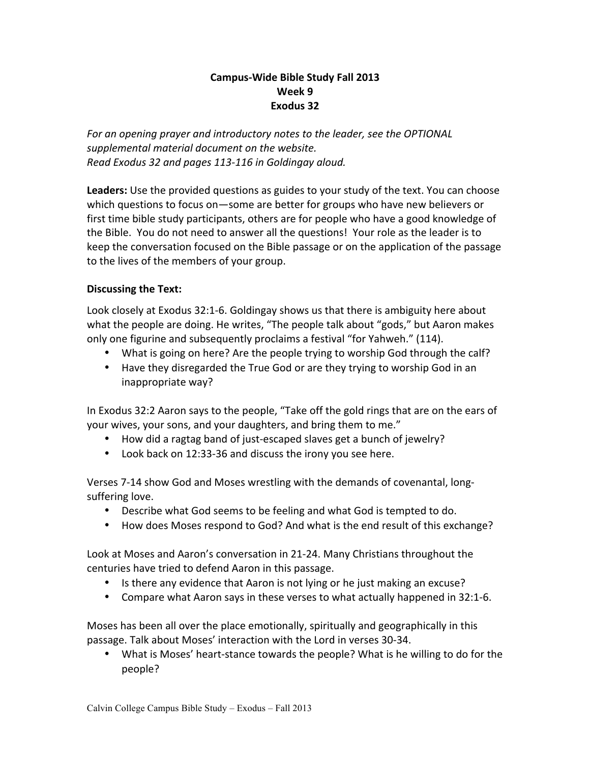# **Campus-Wide Bible Study Fall 2013 Week 9 Exodus 32**

For an opening prayer and introductory notes to the leader, see the OPTIONAL supplemental material document on the website. *Read Exodus 32 and pages 113-116 in Goldingay aloud.*

Leaders: Use the provided questions as guides to your study of the text. You can choose which questions to focus on—some are better for groups who have new believers or first time bible study participants, others are for people who have a good knowledge of the Bible. You do not need to answer all the questions! Your role as the leader is to keep the conversation focused on the Bible passage or on the application of the passage to the lives of the members of your group.

# **Discussing the Text:**

Look closely at Exodus 32:1-6. Goldingay shows us that there is ambiguity here about what the people are doing. He writes, "The people talk about "gods," but Aaron makes only one figurine and subsequently proclaims a festival "for Yahweh." (114).

- What is going on here? Are the people trying to worship God through the calf?
- Have they disregarded the True God or are they trying to worship God in an inappropriate way?

In Exodus 32:2 Aaron says to the people, "Take off the gold rings that are on the ears of your wives, your sons, and your daughters, and bring them to me."

- How did a ragtag band of just-escaped slaves get a bunch of jewelry?
- Look back on 12:33-36 and discuss the irony you see here.

Verses 7-14 show God and Moses wrestling with the demands of covenantal, longsuffering love.

- Describe what God seems to be feeling and what God is tempted to do.
- How does Moses respond to God? And what is the end result of this exchange?

Look at Moses and Aaron's conversation in 21-24. Many Christians throughout the centuries have tried to defend Aaron in this passage.

- Is there any evidence that Aaron is not lying or he just making an excuse?
- Compare what Aaron says in these verses to what actually happened in 32:1-6.

Moses has been all over the place emotionally, spiritually and geographically in this passage. Talk about Moses' interaction with the Lord in verses 30-34.

• What is Moses' heart-stance towards the people? What is he willing to do for the people?